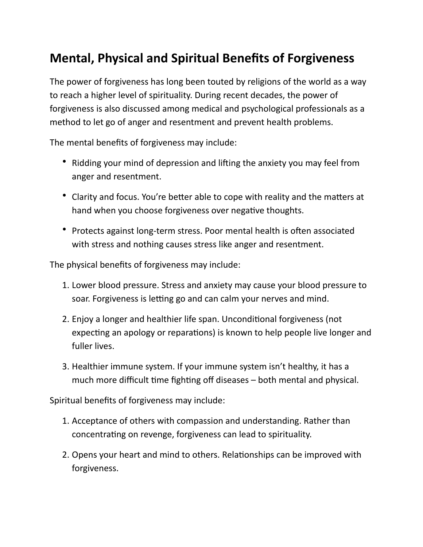## **Mental, Physical and Spiritual Benefits of Forgiveness**

The power of forgiveness has long been touted by religions of the world as a way to reach a higher level of spirituality. During recent decades, the power of forgiveness is also discussed among medical and psychological professionals as a method to let go of anger and resentment and prevent health problems.

The mental benefits of forgiveness may include:

- Ridding your mind of depression and lifting the anxiety you may feel from anger and resentment.
- Clarity and focus. You're better able to cope with reality and the matters at hand when you choose forgiveness over negative thoughts.
- Protects against long-term stress. Poor mental health is often associated with stress and nothing causes stress like anger and resentment.

The physical benefits of forgiveness may include:

- 1. Lower blood pressure. Stress and anxiety may cause your blood pressure to soar. Forgiveness is letting go and can calm your nerves and mind.
- 2. Enjoy a longer and healthier life span. Unconditional forgiveness (not expecting an apology or reparations) is known to help people live longer and fuller lives.
- 3. Healthier immune system. If your immune system isn't healthy, it has a much more difficult time fighting off diseases  $-$  both mental and physical.

Spiritual benefits of forgiveness may include:

- 1. Acceptance of others with compassion and understanding. Rather than concentrating on revenge, forgiveness can lead to spirituality.
- 2. Opens your heart and mind to others. Relationships can be improved with forgiveness.